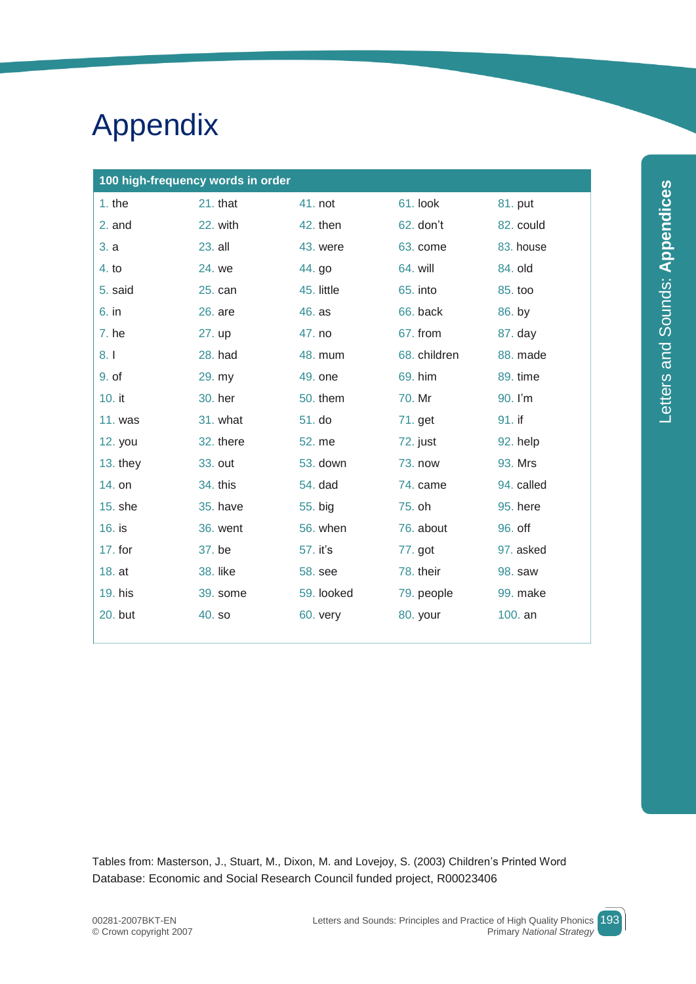# Appendix

| 100 high-frequency words in order |           |            |              |            |  |
|-----------------------------------|-----------|------------|--------------|------------|--|
| $1.$ the                          | 21. that  | 41. not    | 61. look     | 81. put    |  |
| 2. and                            | 22. with  | 42. then   | 62. don't    | 82. could  |  |
| 3. a                              | 23. all   | 43. were   | 63. come     | 83. house  |  |
| 4. to                             | 24. we    | 44. go     | 64. will     | 84. old    |  |
| 5. said                           | 25. can   | 45. little | 65. into     | 85. too    |  |
| $6.$ in                           | 26. are   | 46. as     | 66. back     | 86. by     |  |
| 7. he                             | 27. up    | 47. no     | 67. from     | 87. day    |  |
| 8.1                               | 28. had   | 48. mum    | 68. children | 88. made   |  |
| 9. of                             | 29. my    | 49. one    | 69. him      | 89. time   |  |
| 10. it                            | 30. her   | 50. them   | 70. Mr       | 90. I'm    |  |
| <b>11. was</b>                    | 31. what  | 51. do     | 71. get      | 91. if     |  |
| 12. you                           | 32. there | 52. me     | 72. just     | 92. help   |  |
| $13.$ they                        | 33. out   | 53. down   | 73. now      | 93. Mrs    |  |
| 14. on                            | 34. this  | 54. dad    | 74. came     | 94. called |  |
| 15. she                           | 35. have  | 55. big    | 75. oh       | 95. here   |  |
| 16. is                            | 36. went  | 56. when   | 76. about    | 96. off    |  |
| 17. for                           | 37. be    | 57. it's   | 77. got      | 97. asked  |  |
| 18. at                            | 38. like  | 58. see    | 78. their    | 98. saw    |  |
| 19. his                           | 39. some  | 59. looked | 79. people   | 99. make   |  |
| 20. but                           | 40. so    | 60. very   | 80. your     | 100. an    |  |
|                                   |           |            |              |            |  |

Tables from: Masterson, J., Stuart, M., Dixon, M. and Lovejoy, S. (2003) Children's Printed Word Database: Economic and Social Research Council funded project, R00023406

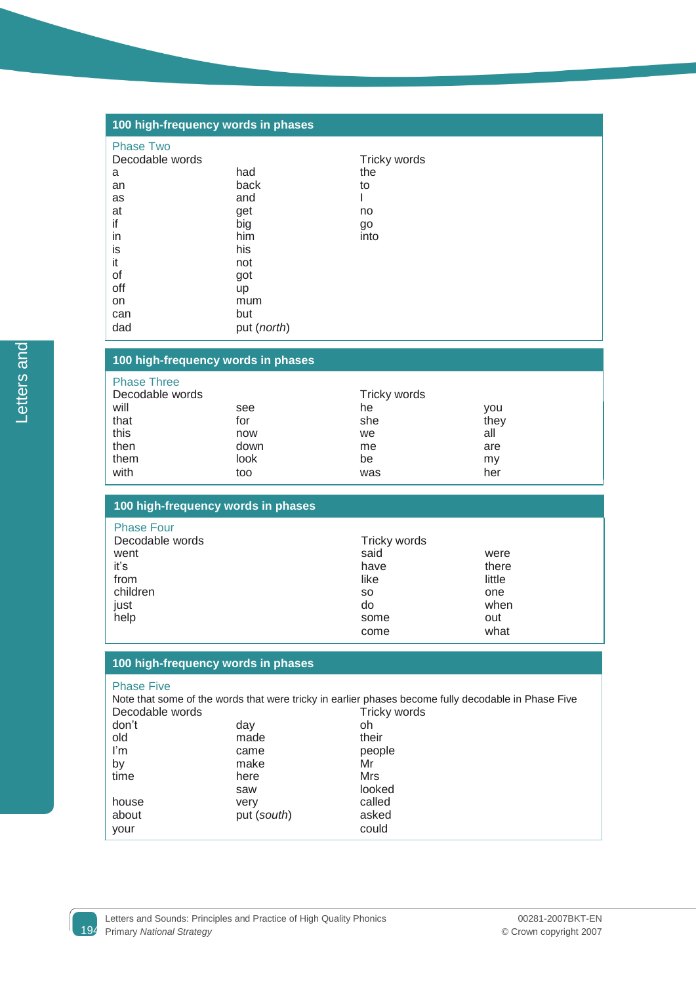| 100 high-frequency words in phases |             |              |  |  |  |
|------------------------------------|-------------|--------------|--|--|--|
| <b>Phase Two</b>                   |             |              |  |  |  |
| Decodable words                    |             | Tricky words |  |  |  |
| a                                  | had         | the          |  |  |  |
| an                                 | back        | to           |  |  |  |
| as                                 | and         |              |  |  |  |
| at                                 | get         | no           |  |  |  |
| if                                 | big         | go           |  |  |  |
| in                                 | him         | into         |  |  |  |
| is                                 | his         |              |  |  |  |
| it                                 | not         |              |  |  |  |
| οf                                 | got         |              |  |  |  |
| off                                | <b>up</b>   |              |  |  |  |
| on                                 | mum         |              |  |  |  |
| can                                | but         |              |  |  |  |
| dad                                | put (north) |              |  |  |  |

## **100 high-frequency words in phases**

| <b>Phase Three</b> |      |              |            |  |
|--------------------|------|--------------|------------|--|
| Decodable words    |      | Tricky words |            |  |
| will               | see  | he           | <b>VOU</b> |  |
| that               | for  | she          | they       |  |
| this               | now  | we           | all        |  |
| then               | down | me           | are        |  |
| them               | look | be           | my         |  |
| with               | too  | was          | her        |  |

|  | 100 high-frequency words in phases |  |  |
|--|------------------------------------|--|--|
|--|------------------------------------|--|--|

| <b>Phase Four</b> |              |        |  |
|-------------------|--------------|--------|--|
| Decodable words   | Tricky words |        |  |
| went              | said         | were   |  |
| iťs               | have         | there  |  |
| from              | like         | little |  |
| children          | <b>SO</b>    | one    |  |
| just              | do           | when   |  |
| help              | some         | out    |  |
|                   | come         | what   |  |

### **100 high-frequency words in phases**

#### Phase Five

|                 |             | Note that some of the words that were tricky in earlier phases become fully decodable in Phase Five |
|-----------------|-------------|-----------------------------------------------------------------------------------------------------|
| Decodable words |             | Tricky words                                                                                        |
| don't           | day         | oh                                                                                                  |
| old             | made        | their                                                                                               |
| l'm             | came        | people                                                                                              |
| by              | make        | Mr                                                                                                  |
| time            | here        | Mrs                                                                                                 |
|                 | saw         | looked                                                                                              |
| house           | very        | called                                                                                              |
| about           | put (south) | asked                                                                                               |
| your            |             | could                                                                                               |

Letters and Letters and